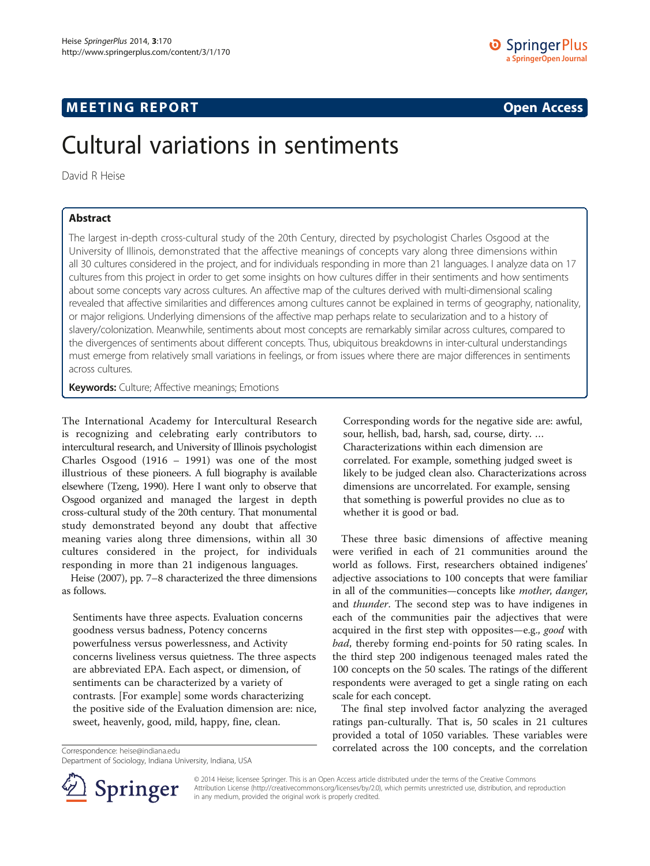## **MEETING REPORT CONSUMING A REPORT** AND CONSUMING A REPORT OF A SAMPLE AND CONSUMING A REPORT OF A REPORT OF A SA

# Cultural variations in sentiments

David R Heise

### Abstract

The largest in-depth cross-cultural study of the 20th Century, directed by psychologist Charles Osgood at the University of Illinois, demonstrated that the affective meanings of concepts vary along three dimensions within all 30 cultures considered in the project, and for individuals responding in more than 21 languages. I analyze data on 17 cultures from this project in order to get some insights on how cultures differ in their sentiments and how sentiments about some concepts vary across cultures. An affective map of the cultures derived with multi-dimensional scaling revealed that affective similarities and differences among cultures cannot be explained in terms of geography, nationality, or major religions. Underlying dimensions of the affective map perhaps relate to secularization and to a history of slavery/colonization. Meanwhile, sentiments about most concepts are remarkably similar across cultures, compared to the divergences of sentiments about different concepts. Thus, ubiquitous breakdowns in inter-cultural understandings must emerge from relatively small variations in feelings, or from issues where there are major differences in sentiments across cultures.

Keywords: Culture; Affective meanings; Emotions

The International Academy for Intercultural Research is recognizing and celebrating early contributors to intercultural research, and University of Illinois psychologist Charles Osgood (1916 – 1991) was one of the most illustrious of these pioneers. A full biography is available elsewhere (Tzeng, [1990\)](#page-10-0). Here I want only to observe that Osgood organized and managed the largest in depth cross-cultural study of the 20th century. That monumental study demonstrated beyond any doubt that affective meaning varies along three dimensions, within all 30 cultures considered in the project, for individuals responding in more than 21 indigenous languages.

Heise [\(2007](#page-10-0)), pp. 7–8 characterized the three dimensions as follows.

Sentiments have three aspects. Evaluation concerns goodness versus badness, Potency concerns powerfulness versus powerlessness, and Activity concerns liveliness versus quietness. The three aspects are abbreviated EPA. Each aspect, or dimension, of sentiments can be characterized by a variety of contrasts. [For example] some words characterizing the positive side of the Evaluation dimension are: nice, sweet, heavenly, good, mild, happy, fine, clean.

Corresponding words for the negative side are: awful, sour, hellish, bad, harsh, sad, course, dirty. … Characterizations within each dimension are correlated. For example, something judged sweet is likely to be judged clean also. Characterizations across dimensions are uncorrelated. For example, sensing that something is powerful provides no clue as to whether it is good or bad.

These three basic dimensions of affective meaning were verified in each of 21 communities around the world as follows. First, researchers obtained indigenes' adjective associations to 100 concepts that were familiar in all of the communities—concepts like mother, danger, and thunder. The second step was to have indigenes in each of the communities pair the adjectives that were acquired in the first step with opposites—e.g., good with bad, thereby forming end-points for 50 rating scales. In the third step 200 indigenous teenaged males rated the 100 concepts on the 50 scales. The ratings of the different respondents were averaged to get a single rating on each scale for each concept.

The final step involved factor analyzing the averaged ratings pan-culturally. That is, 50 scales in 21 cultures provided a total of 1050 variables. These variables were Correspondence: [heise@indiana.edu](mailto:heise@indiana.edu) correlated across the 100 concepts, and the correlation



© 2014 Heise; licensee Springer. This is an Open Access article distributed under the terms of the Creative Commons Attribution License [\(http://creativecommons.org/licenses/by/2.0\)](http://creativecommons.org/licenses/by/2.0), which permits unrestricted use, distribution, and reproduction in any medium, provided the original work is properly credited.

Department of Sociology, Indiana University, Indiana, USA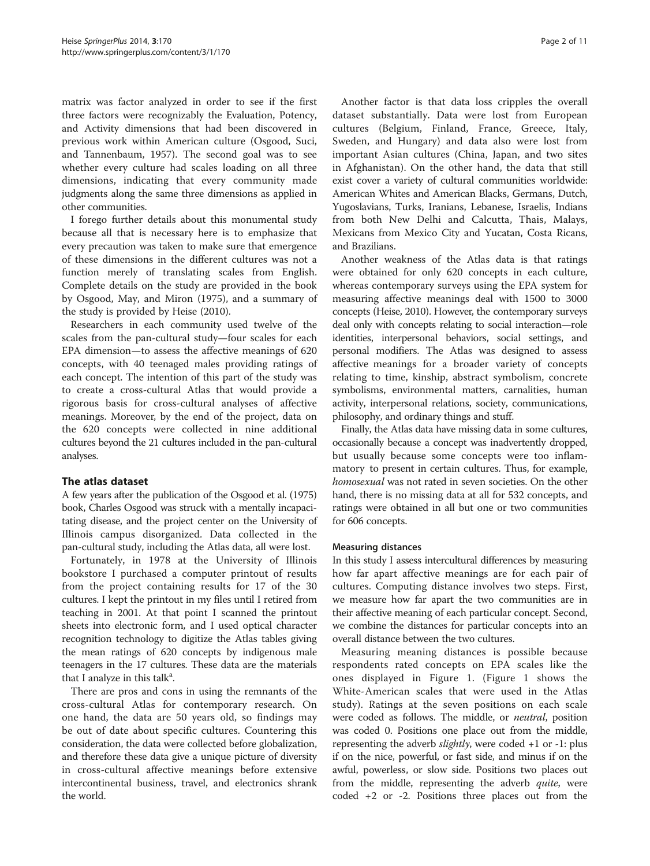matrix was factor analyzed in order to see if the first three factors were recognizably the Evaluation, Potency, and Activity dimensions that had been discovered in previous work within American culture (Osgood, Suci, and Tannenbaum, [1957](#page-10-0)). The second goal was to see whether every culture had scales loading on all three dimensions, indicating that every community made judgments along the same three dimensions as applied in other communities.

I forego further details about this monumental study because all that is necessary here is to emphasize that every precaution was taken to make sure that emergence of these dimensions in the different cultures was not a function merely of translating scales from English. Complete details on the study are provided in the book by Osgood, May, and Miron [\(1975\)](#page-10-0), and a summary of the study is provided by Heise ([2010](#page-10-0)).

Researchers in each community used twelve of the scales from the pan-cultural study—four scales for each EPA dimension—to assess the affective meanings of 620 concepts, with 40 teenaged males providing ratings of each concept. The intention of this part of the study was to create a cross-cultural Atlas that would provide a rigorous basis for cross-cultural analyses of affective meanings. Moreover, by the end of the project, data on the 620 concepts were collected in nine additional cultures beyond the 21 cultures included in the pan-cultural analyses.

#### The atlas dataset

A few years after the publication of the Osgood et al. [\(1975](#page-10-0)) book, Charles Osgood was struck with a mentally incapacitating disease, and the project center on the University of Illinois campus disorganized. Data collected in the pan-cultural study, including the Atlas data, all were lost.

Fortunately, in 1978 at the University of Illinois bookstore I purchased a computer printout of results from the project containing results for 17 of the 30 cultures. I kept the printout in my files until I retired from teaching in 2001. At that point I scanned the printout sheets into electronic form, and I used optical character recognition technology to digitize the Atlas tables giving the mean ratings of 620 concepts by indigenous male teenagers in the 17 cultures. These data are the materials that I analyze in this talk<sup>a</sup>.

There are pros and cons in using the remnants of the cross-cultural Atlas for contemporary research. On one hand, the data are 50 years old, so findings may be out of date about specific cultures. Countering this consideration, the data were collected before globalization, and therefore these data give a unique picture of diversity in cross-cultural affective meanings before extensive intercontinental business, travel, and electronics shrank the world.

Another factor is that data loss cripples the overall dataset substantially. Data were lost from European cultures (Belgium, Finland, France, Greece, Italy, Sweden, and Hungary) and data also were lost from important Asian cultures (China, Japan, and two sites in Afghanistan). On the other hand, the data that still exist cover a variety of cultural communities worldwide: American Whites and American Blacks, Germans, Dutch, Yugoslavians, Turks, Iranians, Lebanese, Israelis, Indians from both New Delhi and Calcutta, Thais, Malays, Mexicans from Mexico City and Yucatan, Costa Ricans, and Brazilians.

Another weakness of the Atlas data is that ratings were obtained for only 620 concepts in each culture, whereas contemporary surveys using the EPA system for measuring affective meanings deal with 1500 to 3000 concepts (Heise, [2010](#page-10-0)). However, the contemporary surveys deal only with concepts relating to social interaction—role identities, interpersonal behaviors, social settings, and personal modifiers. The Atlas was designed to assess affective meanings for a broader variety of concepts relating to time, kinship, abstract symbolism, concrete symbolisms, environmental matters, carnalities, human activity, interpersonal relations, society, communications, philosophy, and ordinary things and stuff.

Finally, the Atlas data have missing data in some cultures, occasionally because a concept was inadvertently dropped, but usually because some concepts were too inflammatory to present in certain cultures. Thus, for example, homosexual was not rated in seven societies. On the other hand, there is no missing data at all for 532 concepts, and ratings were obtained in all but one or two communities for 606 concepts.

#### Measuring distances

In this study I assess intercultural differences by measuring how far apart affective meanings are for each pair of cultures. Computing distance involves two steps. First, we measure how far apart the two communities are in their affective meaning of each particular concept. Second, we combine the distances for particular concepts into an overall distance between the two cultures.

Measuring meaning distances is possible because respondents rated concepts on EPA scales like the ones displayed in Figure [1.](#page-2-0) (Figure [1](#page-2-0) shows the White-American scales that were used in the Atlas study). Ratings at the seven positions on each scale were coded as follows. The middle, or *neutral*, position was coded 0. Positions one place out from the middle, representing the adverb slightly, were coded +1 or -1: plus if on the nice, powerful, or fast side, and minus if on the awful, powerless, or slow side. Positions two places out from the middle, representing the adverb *quite*, were coded +2 or -2. Positions three places out from the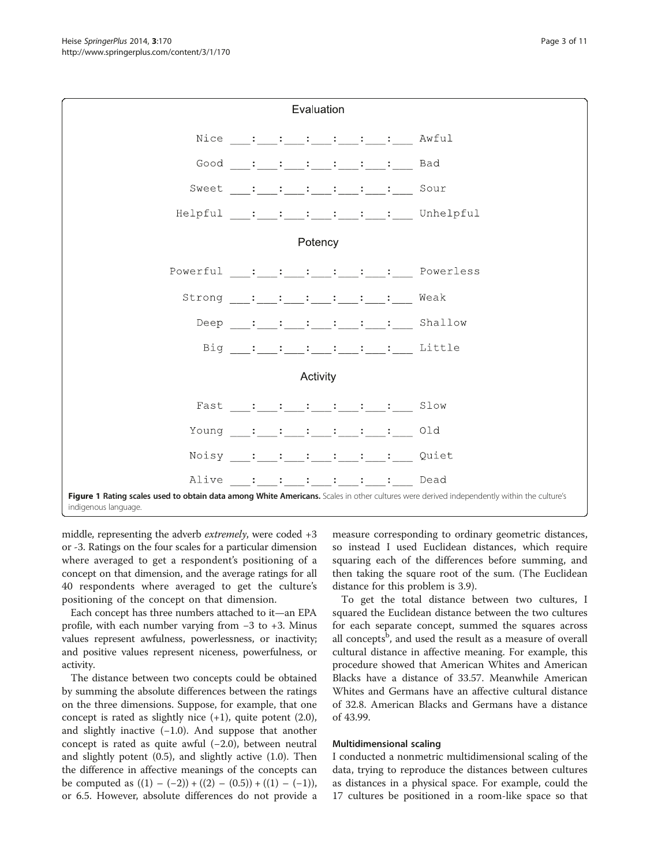<span id="page-2-0"></span>

middle, representing the adverb extremely, were coded +3 or -3. Ratings on the four scales for a particular dimension where averaged to get a respondent's positioning of a concept on that dimension, and the average ratings for all 40 respondents where averaged to get the culture's positioning of the concept on that dimension.

Each concept has three numbers attached to it—an EPA profile, with each number varying from −3 to +3. Minus values represent awfulness, powerlessness, or inactivity; and positive values represent niceness, powerfulness, or activity.

The distance between two concepts could be obtained by summing the absolute differences between the ratings on the three dimensions. Suppose, for example, that one concept is rated as slightly nice  $(+1)$ , quite potent  $(2.0)$ , and slightly inactive (−1.0). And suppose that another concept is rated as quite awful (−2.0), between neutral and slightly potent (0.5), and slightly active (1.0). Then the difference in affective meanings of the concepts can be computed as  $((1) - (-2)) + ((2) - (0.5)) + ((1) - (-1)),$ or 6.5. However, absolute differences do not provide a

measure corresponding to ordinary geometric distances, so instead I used Euclidean distances, which require squaring each of the differences before summing, and then taking the square root of the sum. (The Euclidean distance for this problem is 3.9).

To get the total distance between two cultures, I squared the Euclidean distance between the two cultures for each separate concept, summed the squares across all concepts<sup>b</sup>, and used the result as a measure of overall cultural distance in affective meaning. For example, this procedure showed that American Whites and American Blacks have a distance of 33.57. Meanwhile American Whites and Germans have an affective cultural distance of 32.8. American Blacks and Germans have a distance of 43.99.

#### Multidimensional scaling

I conducted a nonmetric multidimensional scaling of the data, trying to reproduce the distances between cultures as distances in a physical space. For example, could the 17 cultures be positioned in a room-like space so that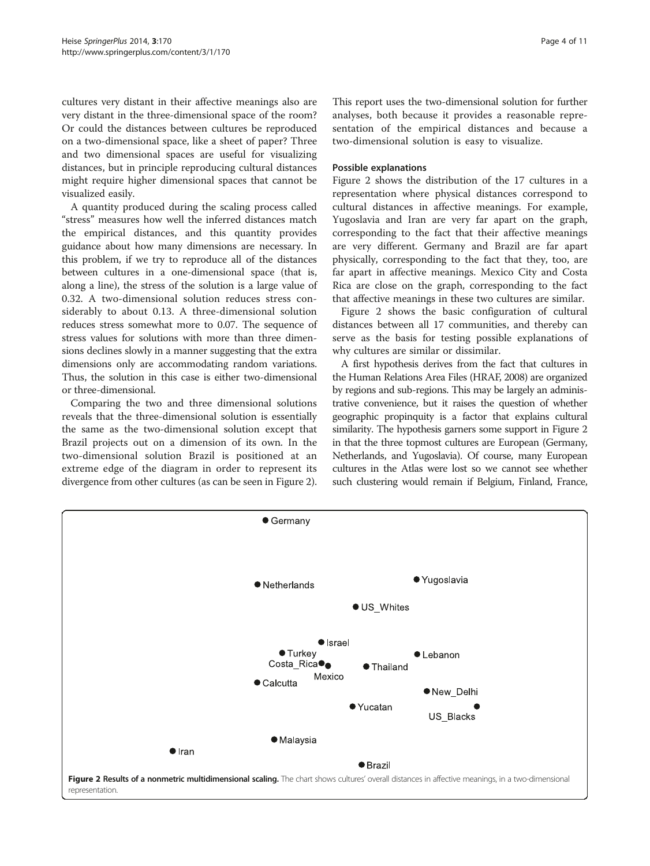<span id="page-3-0"></span>cultures very distant in their affective meanings also are very distant in the three-dimensional space of the room? Or could the distances between cultures be reproduced on a two-dimensional space, like a sheet of paper? Three and two dimensional spaces are useful for visualizing distances, but in principle reproducing cultural distances might require higher dimensional spaces that cannot be visualized easily.

A quantity produced during the scaling process called "stress" measures how well the inferred distances match the empirical distances, and this quantity provides guidance about how many dimensions are necessary. In this problem, if we try to reproduce all of the distances between cultures in a one-dimensional space (that is, along a line), the stress of the solution is a large value of 0.32. A two-dimensional solution reduces stress considerably to about 0.13. A three-dimensional solution reduces stress somewhat more to 0.07. The sequence of stress values for solutions with more than three dimensions declines slowly in a manner suggesting that the extra dimensions only are accommodating random variations. Thus, the solution in this case is either two-dimensional or three-dimensional.

Comparing the two and three dimensional solutions reveals that the three-dimensional solution is essentially the same as the two-dimensional solution except that Brazil projects out on a dimension of its own. In the two-dimensional solution Brazil is positioned at an extreme edge of the diagram in order to represent its divergence from other cultures (as can be seen in Figure 2).

#### Possible explanations

Figure 2 shows the distribution of the 17 cultures in a representation where physical distances correspond to cultural distances in affective meanings. For example, Yugoslavia and Iran are very far apart on the graph, corresponding to the fact that their affective meanings are very different. Germany and Brazil are far apart physically, corresponding to the fact that they, too, are far apart in affective meanings. Mexico City and Costa Rica are close on the graph, corresponding to the fact that affective meanings in these two cultures are similar.

sentation of the empirical distances and because a

two-dimensional solution is easy to visualize.

Figure 2 shows the basic configuration of cultural distances between all 17 communities, and thereby can serve as the basis for testing possible explanations of why cultures are similar or dissimilar.

A first hypothesis derives from the fact that cultures in the Human Relations Area Files (HRAF, [2008\)](#page-10-0) are organized by regions and sub-regions. This may be largely an administrative convenience, but it raises the question of whether geographic propinquity is a factor that explains cultural similarity. The hypothesis garners some support in Figure 2 in that the three topmost cultures are European (Germany, Netherlands, and Yugoslavia). Of course, many European cultures in the Atlas were lost so we cannot see whether such clustering would remain if Belgium, Finland, France,

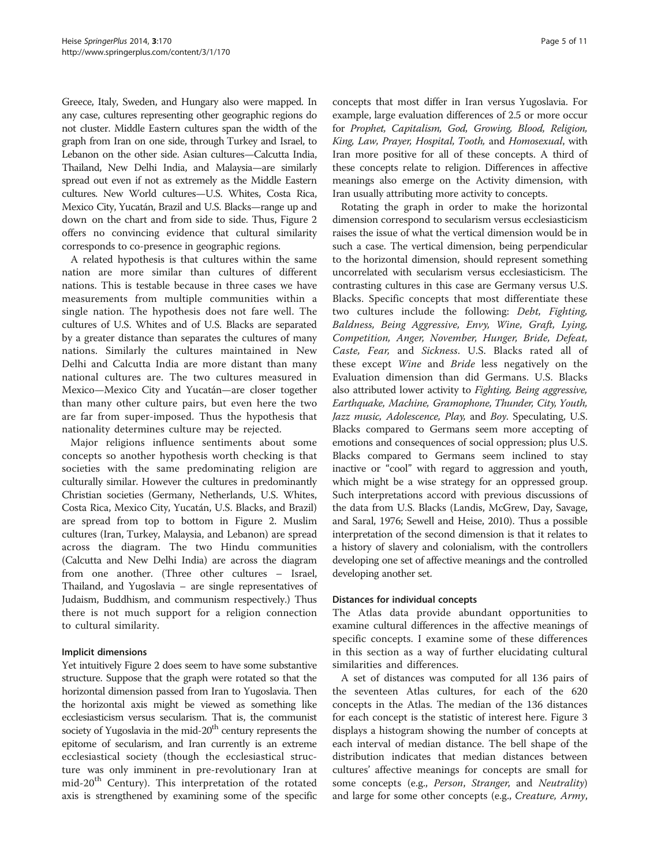Greece, Italy, Sweden, and Hungary also were mapped. In any case, cultures representing other geographic regions do not cluster. Middle Eastern cultures span the width of the graph from Iran on one side, through Turkey and Israel, to Lebanon on the other side. Asian cultures—Calcutta India, Thailand, New Delhi India, and Malaysia—are similarly spread out even if not as extremely as the Middle Eastern cultures. New World cultures—U.S. Whites, Costa Rica, Mexico City, Yucatán, Brazil and U.S. Blacks—range up and down on the chart and from side to side. Thus, Figure [2](#page-3-0) offers no convincing evidence that cultural similarity corresponds to co-presence in geographic regions.

A related hypothesis is that cultures within the same nation are more similar than cultures of different nations. This is testable because in three cases we have measurements from multiple communities within a single nation. The hypothesis does not fare well. The cultures of U.S. Whites and of U.S. Blacks are separated by a greater distance than separates the cultures of many nations. Similarly the cultures maintained in New Delhi and Calcutta India are more distant than many national cultures are. The two cultures measured in Mexico—Mexico City and Yucatán—are closer together than many other culture pairs, but even here the two are far from super-imposed. Thus the hypothesis that nationality determines culture may be rejected.

Major religions influence sentiments about some concepts so another hypothesis worth checking is that societies with the same predominating religion are culturally similar. However the cultures in predominantly Christian societies (Germany, Netherlands, U.S. Whites, Costa Rica, Mexico City, Yucatán, U.S. Blacks, and Brazil) are spread from top to bottom in Figure [2](#page-3-0). Muslim cultures (Iran, Turkey, Malaysia, and Lebanon) are spread across the diagram. The two Hindu communities (Calcutta and New Delhi India) are across the diagram from one another. (Three other cultures – Israel, Thailand, and Yugoslavia – are single representatives of Judaism, Buddhism, and communism respectively.) Thus there is not much support for a religion connection to cultural similarity.

#### Implicit dimensions

Yet intuitively Figure [2](#page-3-0) does seem to have some substantive structure. Suppose that the graph were rotated so that the horizontal dimension passed from Iran to Yugoslavia. Then the horizontal axis might be viewed as something like ecclesiasticism versus secularism. That is, the communist society of Yugoslavia in the mid- $20<sup>th</sup>$  century represents the epitome of secularism, and Iran currently is an extreme ecclesiastical society (though the ecclesiastical structure was only imminent in pre-revolutionary Iran at mid-20<sup>th</sup> Century). This interpretation of the rotated axis is strengthened by examining some of the specific

concepts that most differ in Iran versus Yugoslavia. For example, large evaluation differences of 2.5 or more occur for Prophet, Capitalism, God, Growing, Blood, Religion, King, Law, Prayer, Hospital, Tooth, and Homosexual, with Iran more positive for all of these concepts. A third of these concepts relate to religion. Differences in affective meanings also emerge on the Activity dimension, with Iran usually attributing more activity to concepts.

Rotating the graph in order to make the horizontal dimension correspond to secularism versus ecclesiasticism raises the issue of what the vertical dimension would be in such a case. The vertical dimension, being perpendicular to the horizontal dimension, should represent something uncorrelated with secularism versus ecclesiasticism. The contrasting cultures in this case are Germany versus U.S. Blacks. Specific concepts that most differentiate these two cultures include the following: Debt, Fighting, Baldness, Being Aggressive, Envy, Wine, Graft, Lying, Competition, Anger, November, Hunger, Bride, Defeat, Caste, Fear, and Sickness. U.S. Blacks rated all of these except *Wine* and *Bride* less negatively on the Evaluation dimension than did Germans. U.S. Blacks also attributed lower activity to Fighting, Being aggressive, Earthquake, Machine, Gramophone, Thunder, City, Youth, Jazz music, Adolescence, Play, and Boy. Speculating, U.S. Blacks compared to Germans seem more accepting of emotions and consequences of social oppression; plus U.S. Blacks compared to Germans seem inclined to stay inactive or "cool" with regard to aggression and youth, which might be a wise strategy for an oppressed group. Such interpretations accord with previous discussions of the data from U.S. Blacks (Landis, McGrew, Day, Savage, and Saral, [1976](#page-10-0); Sewell and Heise, [2010\)](#page-10-0). Thus a possible interpretation of the second dimension is that it relates to a history of slavery and colonialism, with the controllers developing one set of affective meanings and the controlled developing another set.

#### Distances for individual concepts

The Atlas data provide abundant opportunities to examine cultural differences in the affective meanings of specific concepts. I examine some of these differences in this section as a way of further elucidating cultural similarities and differences.

A set of distances was computed for all 136 pairs of the seventeen Atlas cultures, for each of the 620 concepts in the Atlas. The median of the 136 distances for each concept is the statistic of interest here. Figure [3](#page-5-0) displays a histogram showing the number of concepts at each interval of median distance. The bell shape of the distribution indicates that median distances between cultures' affective meanings for concepts are small for some concepts (e.g., Person, Stranger, and Neutrality) and large for some other concepts (e.g., Creature, Army,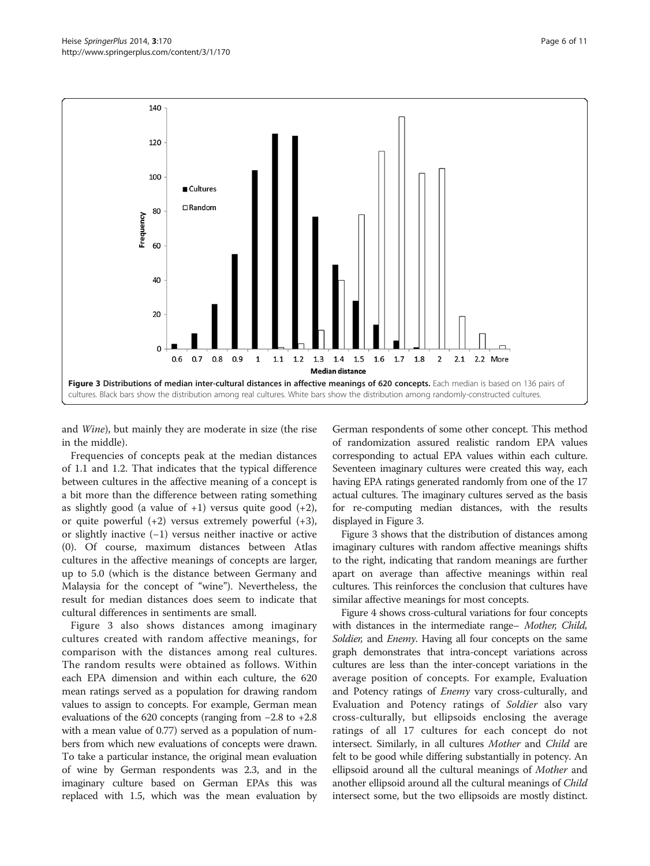<span id="page-5-0"></span>

and Wine), but mainly they are moderate in size (the rise in the middle).

Frequencies of concepts peak at the median distances of 1.1 and 1.2. That indicates that the typical difference between cultures in the affective meaning of a concept is a bit more than the difference between rating something as slightly good (a value of  $+1$ ) versus quite good  $(+2)$ , or quite powerful  $(+2)$  versus extremely powerful  $(+3)$ , or slightly inactive (−1) versus neither inactive or active (0). Of course, maximum distances between Atlas cultures in the affective meanings of concepts are larger, up to 5.0 (which is the distance between Germany and Malaysia for the concept of "wine"). Nevertheless, the result for median distances does seem to indicate that cultural differences in sentiments are small.

Figure 3 also shows distances among imaginary cultures created with random affective meanings, for comparison with the distances among real cultures. The random results were obtained as follows. Within each EPA dimension and within each culture, the 620 mean ratings served as a population for drawing random values to assign to concepts. For example, German mean evaluations of the 620 concepts (ranging from −2.8 to +2.8 with a mean value of 0.77) served as a population of numbers from which new evaluations of concepts were drawn. To take a particular instance, the original mean evaluation of wine by German respondents was 2.3, and in the imaginary culture based on German EPAs this was replaced with 1.5, which was the mean evaluation by

German respondents of some other concept. This method of randomization assured realistic random EPA values corresponding to actual EPA values within each culture. Seventeen imaginary cultures were created this way, each having EPA ratings generated randomly from one of the 17 actual cultures. The imaginary cultures served as the basis for re-computing median distances, with the results displayed in Figure 3.

Figure 3 shows that the distribution of distances among imaginary cultures with random affective meanings shifts to the right, indicating that random meanings are further apart on average than affective meanings within real cultures. This reinforces the conclusion that cultures have similar affective meanings for most concepts.

Figure [4](#page-6-0) shows cross-cultural variations for four concepts with distances in the intermediate range– Mother, Child, Soldier, and *Enemy*. Having all four concepts on the same graph demonstrates that intra-concept variations across cultures are less than the inter-concept variations in the average position of concepts. For example, Evaluation and Potency ratings of *Enemy* vary cross-culturally, and Evaluation and Potency ratings of Soldier also vary cross-culturally, but ellipsoids enclosing the average ratings of all 17 cultures for each concept do not intersect. Similarly, in all cultures Mother and Child are felt to be good while differing substantially in potency. An ellipsoid around all the cultural meanings of Mother and another ellipsoid around all the cultural meanings of Child intersect some, but the two ellipsoids are mostly distinct.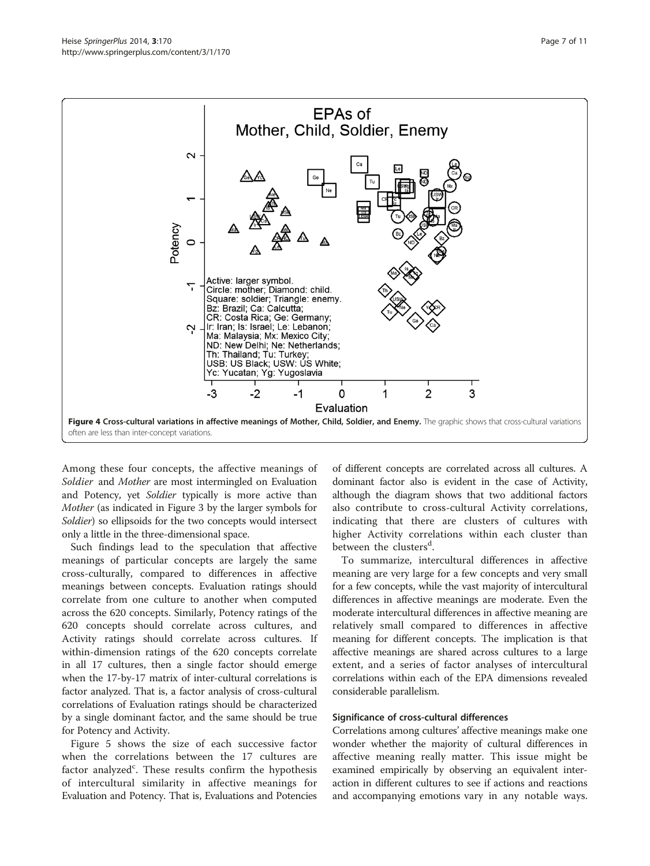<span id="page-6-0"></span>

Among these four concepts, the affective meanings of Soldier and Mother are most intermingled on Evaluation and Potency, yet Soldier typically is more active than Mother (as indicated in Figure [3](#page-5-0) by the larger symbols for Soldier) so ellipsoids for the two concepts would intersect only a little in the three-dimensional space.

Such findings lead to the speculation that affective meanings of particular concepts are largely the same cross-culturally, compared to differences in affective meanings between concepts. Evaluation ratings should correlate from one culture to another when computed across the 620 concepts. Similarly, Potency ratings of the 620 concepts should correlate across cultures, and Activity ratings should correlate across cultures. If within-dimension ratings of the 620 concepts correlate in all 17 cultures, then a single factor should emerge when the 17-by-17 matrix of inter-cultural correlations is factor analyzed. That is, a factor analysis of cross-cultural correlations of Evaluation ratings should be characterized by a single dominant factor, and the same should be true for Potency and Activity.

Figure [5](#page-7-0) shows the size of each successive factor when the correlations between the 17 cultures are factor analyzed<sup>c</sup>. These results confirm the hypothesis of intercultural similarity in affective meanings for Evaluation and Potency. That is, Evaluations and Potencies of different concepts are correlated across all cultures. A dominant factor also is evident in the case of Activity, although the diagram shows that two additional factors also contribute to cross-cultural Activity correlations, indicating that there are clusters of cultures with higher Activity correlations within each cluster than between the clusters<sup>d</sup>.

To summarize, intercultural differences in affective meaning are very large for a few concepts and very small for a few concepts, while the vast majority of intercultural differences in affective meanings are moderate. Even the moderate intercultural differences in affective meaning are relatively small compared to differences in affective meaning for different concepts. The implication is that affective meanings are shared across cultures to a large extent, and a series of factor analyses of intercultural correlations within each of the EPA dimensions revealed considerable parallelism.

#### Significance of cross-cultural differences

Correlations among cultures' affective meanings make one wonder whether the majority of cultural differences in affective meaning really matter. This issue might be examined empirically by observing an equivalent interaction in different cultures to see if actions and reactions and accompanying emotions vary in any notable ways.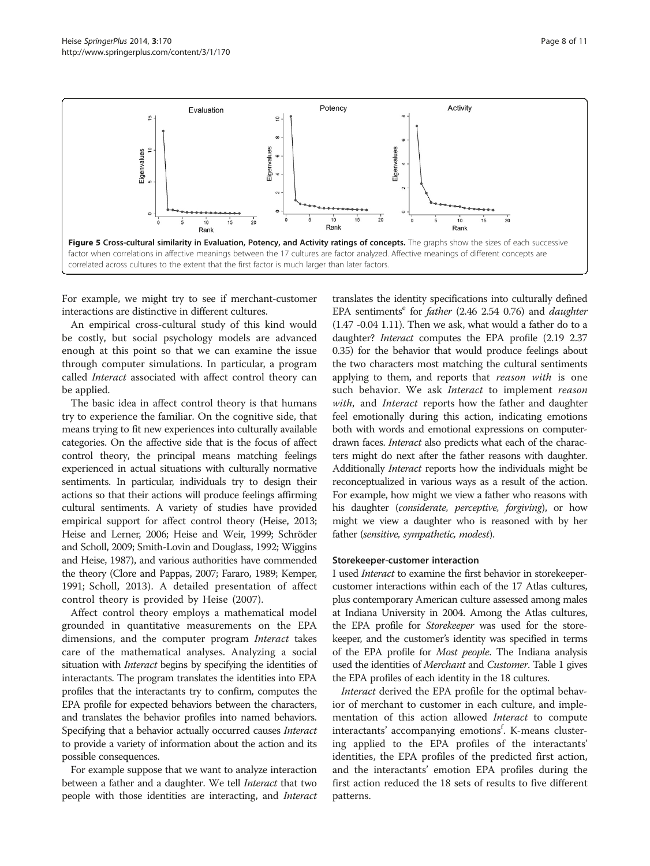<span id="page-7-0"></span>

For example, we might try to see if merchant-customer interactions are distinctive in different cultures.

An empirical cross-cultural study of this kind would be costly, but social psychology models are advanced enough at this point so that we can examine the issue through computer simulations. In particular, a program called Interact associated with affect control theory can be applied.

The basic idea in affect control theory is that humans try to experience the familiar. On the cognitive side, that means trying to fit new experiences into culturally available categories. On the affective side that is the focus of affect control theory, the principal means matching feelings experienced in actual situations with culturally normative sentiments. In particular, individuals try to design their actions so that their actions will produce feelings affirming cultural sentiments. A variety of studies have provided empirical support for affect control theory (Heise, [2013](#page-10-0); Heise and Lerner, [2006](#page-10-0); Heise and Weir, [1999](#page-10-0); Schröder and Scholl, [2009](#page-10-0); Smith-Lovin and Douglass, [1992](#page-10-0); Wiggins and Heise, [1987\)](#page-10-0), and various authorities have commended the theory (Clore and Pappas, [2007](#page-10-0); Fararo, [1989;](#page-10-0) Kemper, [1991;](#page-10-0) Scholl, [2013](#page-10-0)). A detailed presentation of affect control theory is provided by Heise [\(2007](#page-10-0)).

Affect control theory employs a mathematical model grounded in quantitative measurements on the EPA dimensions, and the computer program Interact takes care of the mathematical analyses. Analyzing a social situation with *Interact* begins by specifying the identities of interactants. The program translates the identities into EPA profiles that the interactants try to confirm, computes the EPA profile for expected behaviors between the characters, and translates the behavior profiles into named behaviors. Specifying that a behavior actually occurred causes Interact to provide a variety of information about the action and its possible consequences.

For example suppose that we want to analyze interaction between a father and a daughter. We tell *Interact* that two people with those identities are interacting, and Interact

translates the identity specifications into culturally defined EPA sentiments<sup>e</sup> for *father* (2.46 2.54 0.76) and *daughter* (1.47 -0.04 1.11). Then we ask, what would a father do to a daughter? Interact computes the EPA profile (2.19 2.37 0.35) for the behavior that would produce feelings about the two characters most matching the cultural sentiments applying to them, and reports that *reason with* is one such behavior. We ask Interact to implement reason with, and *Interact* reports how the father and daughter feel emotionally during this action, indicating emotions both with words and emotional expressions on computerdrawn faces. Interact also predicts what each of the characters might do next after the father reasons with daughter. Additionally Interact reports how the individuals might be reconceptualized in various ways as a result of the action. For example, how might we view a father who reasons with his daughter (considerate, perceptive, forgiving), or how might we view a daughter who is reasoned with by her father (sensitive, sympathetic, modest).

#### Storekeeper-customer interaction

I used Interact to examine the first behavior in storekeepercustomer interactions within each of the 17 Atlas cultures, plus contemporary American culture assessed among males at Indiana University in 2004. Among the Atlas cultures, the EPA profile for Storekeeper was used for the storekeeper, and the customer's identity was specified in terms of the EPA profile for Most people. The Indiana analysis used the identities of *Merchant* and *Customer*. Table [1](#page-8-0) gives the EPA profiles of each identity in the 18 cultures.

Interact derived the EPA profile for the optimal behavior of merchant to customer in each culture, and implementation of this action allowed Interact to compute interactants' accompanying emotions<sup>f</sup>. K-means clustering applied to the EPA profiles of the interactants' identities, the EPA profiles of the predicted first action, and the interactants' emotion EPA profiles during the first action reduced the 18 sets of results to five different patterns.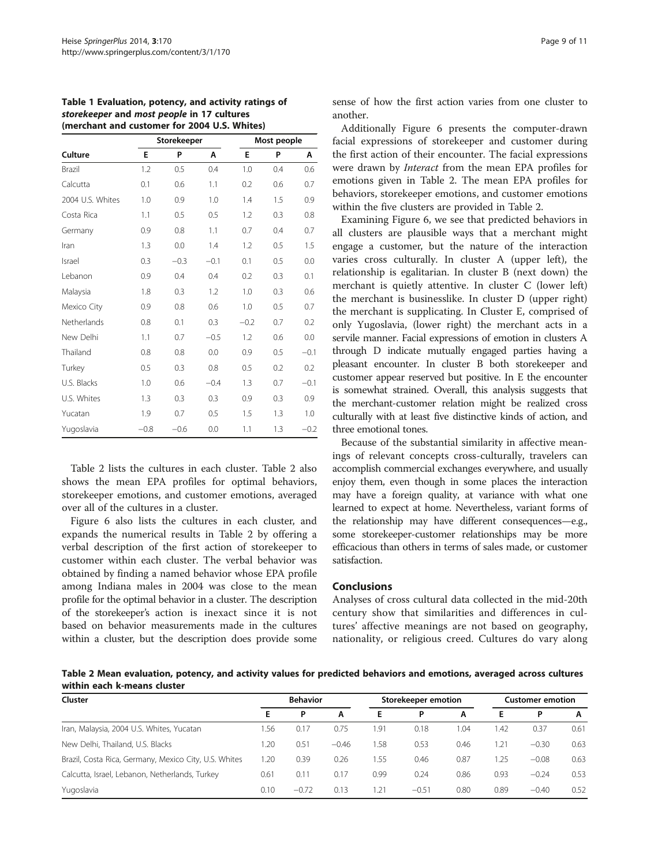| (merchant and customer for 2004 U.S. Whites) |        |             |        |             |     |        |  |  |  |  |  |  |
|----------------------------------------------|--------|-------------|--------|-------------|-----|--------|--|--|--|--|--|--|
| Culture                                      |        | Storekeeper |        | Most people |     |        |  |  |  |  |  |  |
|                                              | E      | P           | A      | E           | P   | A      |  |  |  |  |  |  |
| Brazil                                       | 1.2    | 0.5         | 0.4    | 1.0         | 0.4 | 0.6    |  |  |  |  |  |  |
| Calcutta                                     | 0.1    | 0.6         | 1.1    | 0.2         | 0.6 | 0.7    |  |  |  |  |  |  |
| 2004 U.S. Whites                             | 1.0    | 0.9         | 1.0    | 1.4         | 1.5 | 0.9    |  |  |  |  |  |  |
| Costa Rica                                   | 1.1    | 0.5         | 0.5    | 1.2         | 0.3 | 0.8    |  |  |  |  |  |  |
| Germany                                      | 0.9    | 0.8         | 1.1    | 0.7         | 0.4 | 0.7    |  |  |  |  |  |  |
| Iran                                         | 1.3    | 0.0         | 1.4    | 1.2         | 0.5 | 1.5    |  |  |  |  |  |  |
| Israel                                       | 0.3    | $-0.3$      | $-0.1$ | 0.1         | 0.5 | 0.0    |  |  |  |  |  |  |
| Lebanon                                      | 0.9    | 0.4         | 0.4    | 0.2         | 0.3 | 0.1    |  |  |  |  |  |  |
| Malaysia                                     | 1.8    | 0.3         | 1.2    | 1.0         | 0.3 | 0.6    |  |  |  |  |  |  |
| Mexico City                                  | 0.9    | 0.8         | 0.6    | 1.0         | 0.5 | 0.7    |  |  |  |  |  |  |
| Netherlands                                  | 0.8    | 0.1         | 0.3    | $-0.2$      | 0.7 | 0.2    |  |  |  |  |  |  |
| New Delhi                                    | 1.1    | 0.7         | $-0.5$ | 1.2         | 0.6 | 0.0    |  |  |  |  |  |  |
| Thailand                                     | 0.8    | 0.8         | 0.0    | 0.9         | 0.5 | $-0.1$ |  |  |  |  |  |  |
| Turkey                                       | 0.5    | 0.3         | 0.8    | 0.5         | 0.2 | 0.2    |  |  |  |  |  |  |
| U.S. Blacks                                  | 1.0    | 0.6         | $-0.4$ | 1.3         | 0.7 | $-0.1$ |  |  |  |  |  |  |
| U.S. Whites                                  | 1.3    | 0.3         | 0.3    | 0.9         | 0.3 | 0.9    |  |  |  |  |  |  |
| Yucatan                                      | 1.9    | 0.7         | 0.5    | 1.5         | 1.3 | 1.0    |  |  |  |  |  |  |
| Yugoslavia                                   | $-0.8$ | $-0.6$      | 0.0    | 1.1         | 1.3 | $-0.2$ |  |  |  |  |  |  |

<span id="page-8-0"></span>Table 1 Evaluation, potency, and activity ratings of storekeeper and most people in 17 cultures

Table 2 lists the cultures in each cluster. Table 2 also shows the mean EPA profiles for optimal behaviors, storekeeper emotions, and customer emotions, averaged over all of the cultures in a cluster.

Figure [6](#page-9-0) also lists the cultures in each cluster, and expands the numerical results in Table 2 by offering a verbal description of the first action of storekeeper to customer within each cluster. The verbal behavior was obtained by finding a named behavior whose EPA profile among Indiana males in 2004 was close to the mean profile for the optimal behavior in a cluster. The description of the storekeeper's action is inexact since it is not based on behavior measurements made in the cultures within a cluster, but the description does provide some sense of how the first action varies from one cluster to another.

Additionally Figure [6](#page-9-0) presents the computer-drawn facial expressions of storekeeper and customer during the first action of their encounter. The facial expressions were drawn by Interact from the mean EPA profiles for emotions given in Table 2. The mean EPA profiles for behaviors, storekeeper emotions, and customer emotions within the five clusters are provided in Table 2.

Examining Figure [6](#page-9-0), we see that predicted behaviors in all clusters are plausible ways that a merchant might engage a customer, but the nature of the interaction varies cross culturally. In cluster A (upper left), the relationship is egalitarian. In cluster B (next down) the merchant is quietly attentive. In cluster C (lower left) the merchant is businesslike. In cluster D (upper right) the merchant is supplicating. In Cluster E, comprised of only Yugoslavia, (lower right) the merchant acts in a servile manner. Facial expressions of emotion in clusters A through D indicate mutually engaged parties having a pleasant encounter. In cluster B both storekeeper and customer appear reserved but positive. In E the encounter is somewhat strained. Overall, this analysis suggests that the merchant-customer relation might be realized cross culturally with at least five distinctive kinds of action, and three emotional tones.

Because of the substantial similarity in affective meanings of relevant concepts cross-culturally, travelers can accomplish commercial exchanges everywhere, and usually enjoy them, even though in some places the interaction may have a foreign quality, at variance with what one learned to expect at home. Nevertheless, variant forms of the relationship may have different consequences—e.g., some storekeeper-customer relationships may be more efficacious than others in terms of sales made, or customer satisfaction.

#### Conclusions

Analyses of cross cultural data collected in the mid-20th century show that similarities and differences in cultures' affective meanings are not based on geography, nationality, or religious creed. Cultures do vary along

Table 2 Mean evaluation, potency, and activity values for predicted behaviors and emotions, averaged across cultures within each k-means cluster

| Cluster                                               |    | <b>Behavior</b> |         |      | Storekeeper emotion |      |      | <b>Customer emotion</b> |      |  |
|-------------------------------------------------------|----|-----------------|---------|------|---------------------|------|------|-------------------------|------|--|
|                                                       | E. | P               | A       | Е    | P                   | A    | Е    | P                       | A    |  |
| Iran, Malaysia, 2004 U.S. Whites, Yucatan             |    | 0.17            | 0.75    | .91  | 0.18                | .04  | 1.42 | 0.37                    | 0.61 |  |
| New Delhi, Thailand, U.S. Blacks                      |    | 0.51            | $-0.46$ | 1.58 | 0.53                | 0.46 | 1.21 | $-0.30$                 | 0.63 |  |
| Brazil, Costa Rica, Germany, Mexico City, U.S. Whites |    | 0.39            | 0.26    | 1.55 | 0.46                | 0.87 | 1.25 | $-0.08$                 | 0.63 |  |
| Calcutta, Israel, Lebanon, Netherlands, Turkey        |    | 0.11            | 0.17    | 0.99 | 0.24                | 0.86 | 0.93 | $-0.24$                 | 0.53 |  |
| Yugoslavia                                            |    | $-0.72$         | 0.13    | 1.21 | $-0.51$             | 0.80 | 0.89 | $-0.40$                 | 0.52 |  |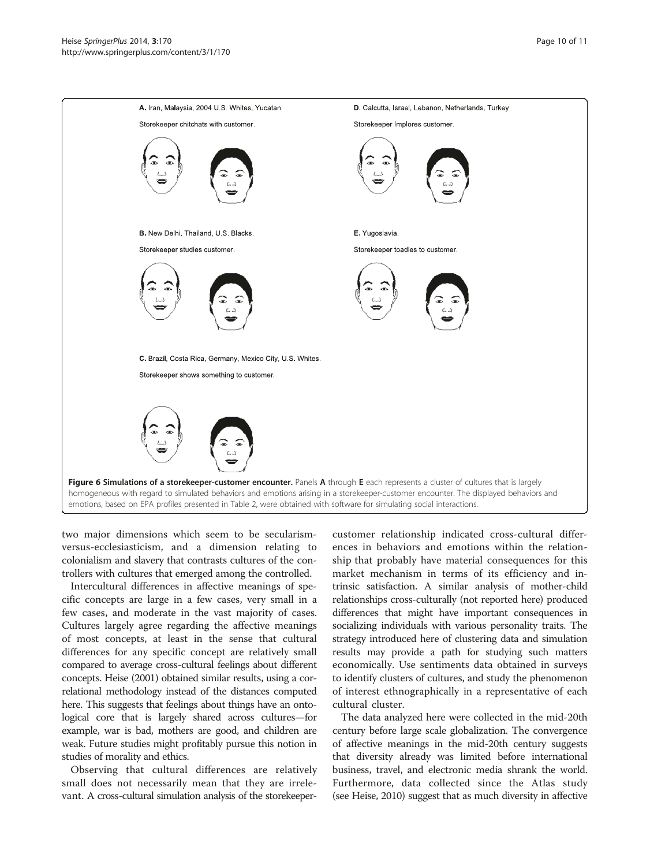<span id="page-9-0"></span>

two major dimensions which seem to be secularismversus-ecclesiasticism, and a dimension relating to colonialism and slavery that contrasts cultures of the controllers with cultures that emerged among the controlled.

Intercultural differences in affective meanings of specific concepts are large in a few cases, very small in a few cases, and moderate in the vast majority of cases. Cultures largely agree regarding the affective meanings of most concepts, at least in the sense that cultural differences for any specific concept are relatively small compared to average cross-cultural feelings about different concepts. Heise [\(2001](#page-10-0)) obtained similar results, using a correlational methodology instead of the distances computed here. This suggests that feelings about things have an ontological core that is largely shared across cultures—for example, war is bad, mothers are good, and children are weak. Future studies might profitably pursue this notion in studies of morality and ethics.

Observing that cultural differences are relatively small does not necessarily mean that they are irrelevant. A cross-cultural simulation analysis of the storekeeper-

customer relationship indicated cross-cultural differences in behaviors and emotions within the relationship that probably have material consequences for this market mechanism in terms of its efficiency and intrinsic satisfaction. A similar analysis of mother-child relationships cross-culturally (not reported here) produced differences that might have important consequences in socializing individuals with various personality traits. The strategy introduced here of clustering data and simulation results may provide a path for studying such matters economically. Use sentiments data obtained in surveys to identify clusters of cultures, and study the phenomenon of interest ethnographically in a representative of each cultural cluster.

The data analyzed here were collected in the mid-20th century before large scale globalization. The convergence of affective meanings in the mid-20th century suggests that diversity already was limited before international business, travel, and electronic media shrank the world. Furthermore, data collected since the Atlas study (see Heise, [2010](#page-10-0)) suggest that as much diversity in affective